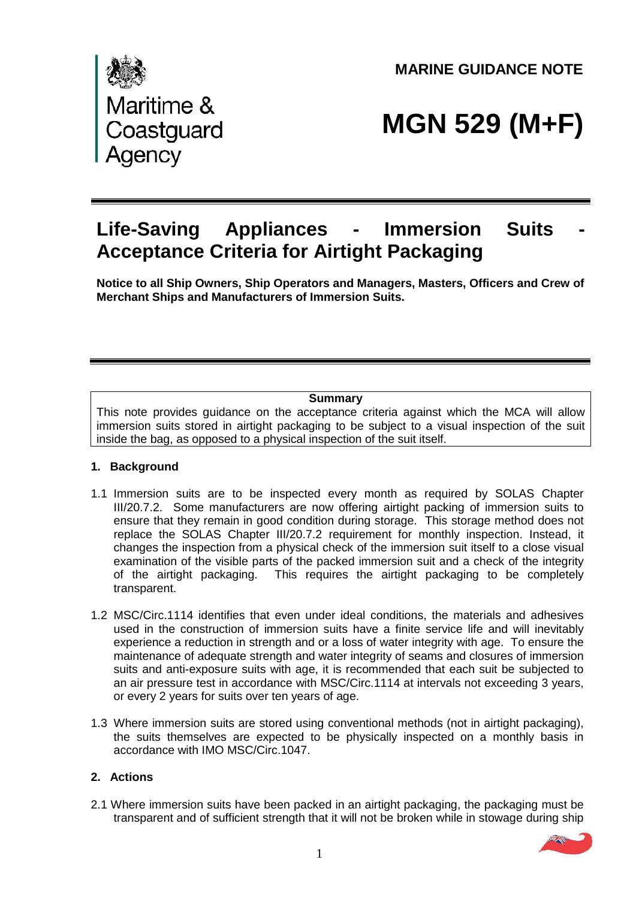Maritime &<br>Coastguard<br>Agency

**MARINE GUIDANCE NOTE** 

# **MGN 529 (M+F)**

# **Life-Saving Appliances - Immersion Suits**<br>**Acceptance Criteria for Airtight Packaging**

**Notice to all Ship Owners, Ship Operators and Managers, Masters, Officers and Crew of Merchant Ships and Manufacturers of Immersion Suits.**

# **Summary**

This note provides guidance on the acceptance criteria against which the MCA will allow immersion suits stored in airtight packaging to be subject to a visual inspection of the suit inside the bag, as opposed to a physical inspection of the suit itself.

#### **1. Background**

- 1.1 Immersion suits are to be inspected every month as required by SOLAS Chapter III/20.7.2. Some manufacturers are now offering airtight packing of immersion suits to ensure that they remain in good condition during storage. This storage method does not replace the SOLAS Chapter III/20.7.2 requirement for monthly inspection. Instead, it changes the inspection from a physical check of the immersion suit itself to a close visual examination of the visible parts of the packed immersion suit and a check of the integrity of the airtight packaging. This requires the airtight packaging to be completely transparent.
- 1.2 MSC/Circ.1114 identifies that even under ideal conditions, the materials and adhesives used in the construction of immersion suits have a finite service life and will inevitably experience a reduction in strength and or a loss of water integrity with age. To ensure the maintenance of adequate strength and water integrity of seams and closures of immersion suits and anti-exposure suits with age, it is recommended that each suit be subjected to an air pressure test in accordance with MSC/Circ.1114 at intervals not exceeding 3 years, or every 2 years for suits over ten years of age.
- 1.3 Where immersion suits are stored using conventional methods (not in airtight packaging), the suits themselves are expected to be physically inspected on a monthly basis in accordance with IMO MSC/Circ.1047.

# **2. Actions**

2.1 Where immersion suits have been packed in an airtight packaging, the packaging must be transparent and of sufficient strength that it will not be broken while in stowage during ship

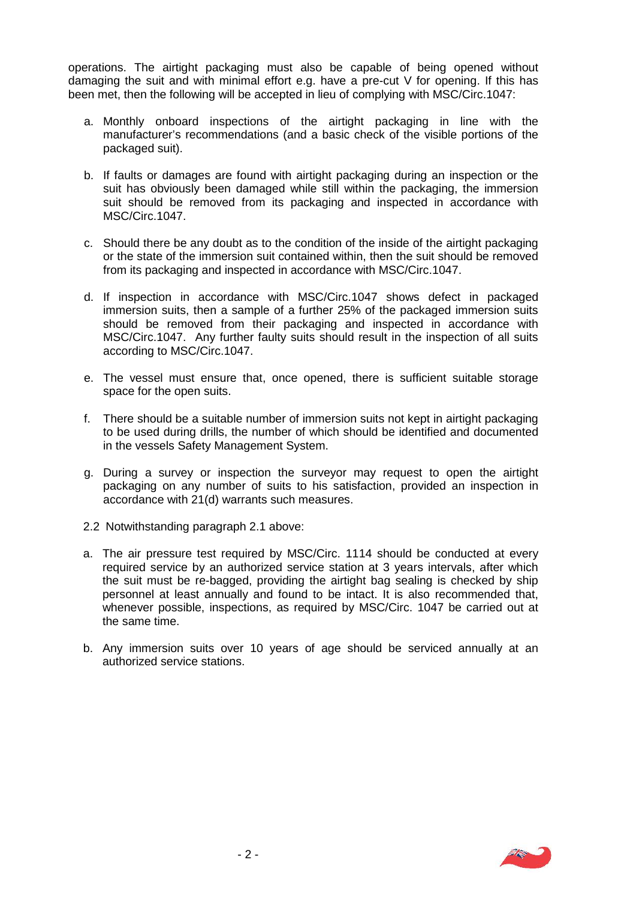operations. The airtight packaging must also be capable of being opened without damaging the suit and with minimal effort e.g. have a pre-cut V for opening. If this has been met, then the following will be accepted in lieu of complying with MSC/Circ.1047:

- a. Monthly onboard inspections of the airtight packaging in line with the manufacturer's recommendations (and a basic check of the visible portions of the packaged suit).
- b. If faults or damages are found with airtight packaging during an inspection or the suit has obviously been damaged while still within the packaging, the immersion suit should be removed from its packaging and inspected in accordance with MSC/Circ.1047.
- c. Should there be any doubt as to the condition of the inside of the airtight packaging or the state of the immersion suit contained within, then the suit should be removed from its packaging and inspected in accordance with MSC/Circ.1047.
- d. If inspection in accordance with MSC/Circ.1047 shows defect in packaged immersion suits, then a sample of a further 25% of the packaged immersion suits should be removed from their packaging and inspected in accordance with MSC/Circ.1047. Any further faulty suits should result in the inspection of all suits according to MSC/Circ.1047.
- e. The vessel must ensure that, once opened, there is sufficient suitable storage space for the open suits.
- f. There should be a suitable number of immersion suits not kept in airtight packaging to be used during drills, the number of which should be identified and documented in the vessels Safety Management System.
- g. During a survey or inspection the surveyor may request to open the airtight packaging on any number of suits to his satisfaction, provided an inspection in accordance with 21(d) warrants such measures.
- 2.2 Notwithstanding paragraph 2.1 above:
- a. The air pressure test required by MSC/Circ. 1114 should be conducted at every required service by an authorized service station at 3 years intervals, after which the suit must be re-bagged, providing the airtight bag sealing is checked by ship personnel at least annually and found to be intact. It is also recommended that, whenever possible, inspections, as required by MSC/Circ. 1047 be carried out at the same time.
- b. Any immersion suits over 10 years of age should be serviced annually at an authorized service stations.